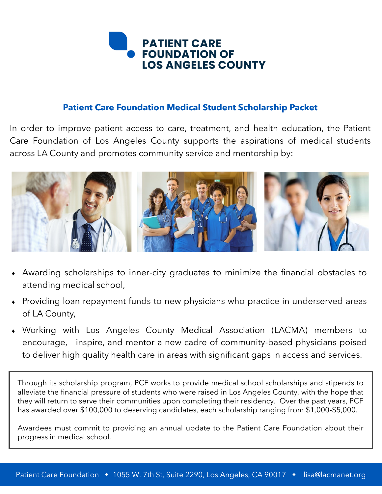

### **Patient Care Foundation Medical Student Scholarship Packet**

In order to improve patient access to care, treatment, and health education, the Patient Care Foundation of Los Angeles County supports the aspirations of medical students across LA County and promotes community service and mentorship by:



- Awarding scholarships to inner-city graduates to minimize the financial obstacles to attending medical school,
- Providing loan repayment funds to new physicians who practice in underserved areas of LA County,
- Working with Los Angeles County Medical Association (LACMA) members to encourage, inspire, and mentor a new cadre of community-based physicians poised to deliver high quality health care in areas with significant gaps in access and services.

Through its scholarship program, PCF works to provide medical school scholarships and stipends to alleviate the financial pressure of students who were raised in Los Angeles County, with the hope that they will return to serve their communities upon completing their residency. Over the past years, PCF has awarded over \$100,000 to deserving candidates, each scholarship ranging from \$1,000-\$5,000.

Awardees must commit to providing an annual update to the Patient Care Foundation about their progress in medical school.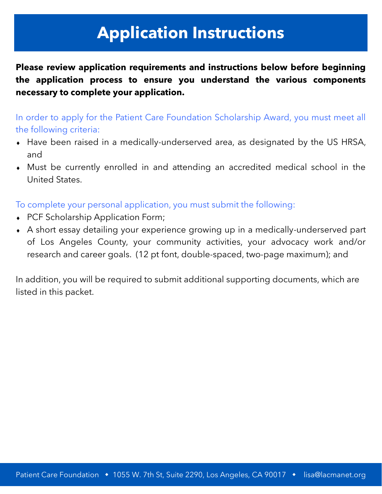# **Application Instructions**

**Please review application requirements and instructions below before beginning the application process to ensure you understand the various components necessary to complete your application.**

In order to apply for the Patient Care Foundation Scholarship Award, you must meet all the following criteria:

- Have been raised in a medically-underserved area, as designated by the US HRSA, and
- Must be currently enrolled in and attending an accredited medical school in the United States.

To complete your personal application, you must submit the following:

- PCF Scholarship Application Form;
- A short essay detailing your experience growing up in a medically-underserved part of Los Angeles County, your community activities, your advocacy work and/or research and career goals. (12 pt font, double-spaced, two-page maximum); and

In addition, you will be required to submit additional supporting documents, which are listed in this packet.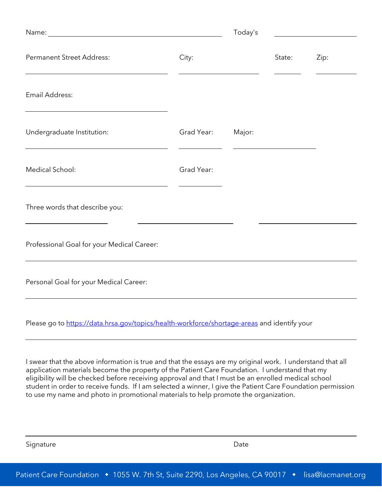|                                            |            | Today's |        |      |
|--------------------------------------------|------------|---------|--------|------|
| <b>Permanent Street Address:</b>           | City:      |         | State: | Zip: |
| Email Address:                             |            |         |        |      |
| Undergraduate Institution:                 | Grad Year: | Major:  |        |      |
| Medical School:                            | Grad Year: |         |        |      |
| Three words that describe you:             |            |         |        |      |
| Professional Goal for your Medical Career: |            |         |        |      |
| Personal Goal for your Medical Career:     |            |         |        |      |

Please go to [https://data.hrsa.gov/topics/health](https://data.hrsa.gov/topics/health-workforce/shortage-areas)-workforce/shortage-areas and identify your

I swear that the above information is true and that the essays are my original work. I understand that all application materials become the property of the Patient Care Foundation. I understand that my eligibility will be checked before receiving approval and that I must be an enrolled medical school student in order to receive funds. If I am selected a winner, I give the Patient Care Foundation permission to use my name and photo in promotional materials to help promote the organization.

Signature Date Date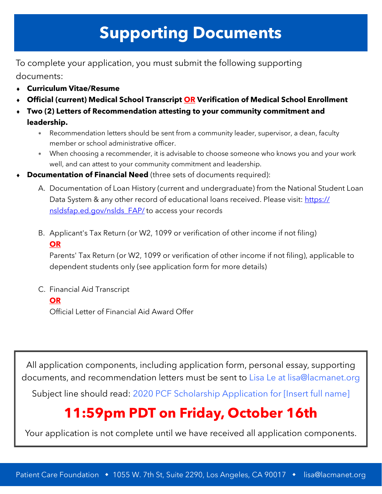# **Supporting Documents**

To complete your application, you must submit the following supporting documents:

- **Curriculum Vitae/Resume**
- **Official (current) Medical School Transcript OR Verification of Medical School Enrollment**
- **Two (2) Letters of Recommendation attesting to your community commitment and leadership.** 
	- Recommendation letters should be sent from a community leader, supervisor, a dean, faculty member or school administrative officer.
	- When choosing a recommender, it is advisable to choose someone who knows you and your work well, and can attest to your community commitment and leadership.
- **Documentation of Financial Need** (three sets of documents required):
	- A. Documentation of Loan History (current and undergraduate) from the National Student Loan Data System & any other record of educational loans received. Please visit: [https://](https://nsldsfap.ed.gov/nslds_FAP/) [nsldsfap.ed.gov/nslds\\_FAP/](https://nsldsfap.ed.gov/nslds_FAP/) to access your records
	- B. Applicant's Tax Return (or W2, 1099 or verification of other income if not filing) **OR**

Parents' Tax Return (or W2, 1099 or verification of other income if not filing), applicable to dependent students only (see application form for more details)

C. Financial Aid Transcript

### **OR**

Official Letter of Financial Aid Award Offer

All application components, including application form, personal essay, supporting documents, and recommendation letters must be sent to Lisa Le at lisa@lacmanet.org

Subject line should read: 2020 PCF Scholarship Application for [Insert full name]

## **11:59pm PDT on Friday, October 16th**

Your application is not complete until we have received all application components.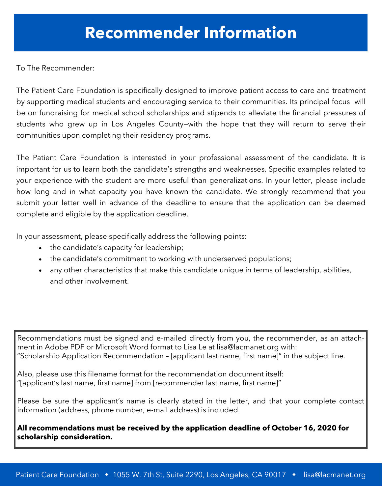To The Recommender:

The Patient Care Foundation is specifically designed to improve patient access to care and treatment by supporting medical students and encouraging service to their communities. Its principal focus will be on fundraising for medical school scholarships and stipends to alleviate the financial pressures of students who grew up in Los Angeles County—with the hope that they will return to serve their communities upon completing their residency programs.

The Patient Care Foundation is interested in your professional assessment of the candidate. It is important for us to learn both the candidate's strengths and weaknesses. Specific examples related to your experience with the student are more useful than generalizations. In your letter, please include how long and in what capacity you have known the candidate. We strongly recommend that you submit your letter well in advance of the deadline to ensure that the application can be deemed complete and eligible by the application deadline.

In your assessment, please specifically address the following points:

- the candidate's capacity for leadership;
- the candidate's commitment to working with underserved populations;
- any other characteristics that make this candidate unique in terms of leadership, abilities, and other involvement.

Recommendations must be signed and e-mailed directly from you, the recommender, as an attachment in Adobe PDF or Microsoft Word format to Lisa Le at lisa@lacmanet.org with: "Scholarship Application Recommendation – [applicant last name, first name]" in the subject line.

Also, please use this filename format for the recommendation document itself: "[applicant's last name, first name] from [recommender last name, first name]"

Please be sure the applicant's name is clearly stated in the letter, and that your complete contact information (address, phone number, e-mail address) is included.

**All recommendations must be received by the application deadline of October 16, 2020 for scholarship consideration.**